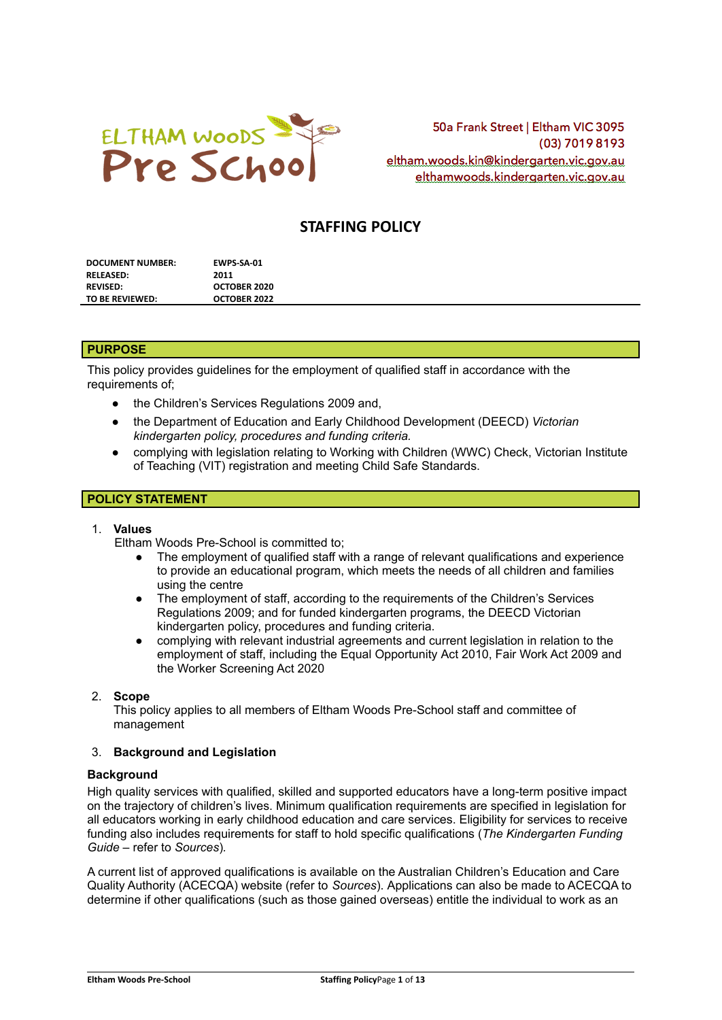

50a Frank Street | Eltham VIC 3095 (03) 7019 8193 eltham.woods.kin@kindergarten.vic.gov.au elthamwoods.kindergarten.vic.gov.au

# **STAFFING POLICY**

| <b>DOCUMENT NUMBER:</b> | EWPS SA-01   |
|-------------------------|--------------|
| RELEASED:               | 2011         |
| <b>REVISED:</b>         | OCTOBER 2020 |
| TO BE REVIEWED:         | OCTOBER 2022 |

#### **PURPOSE**

This policy provides guidelines for the employment of qualified staff in accordance with the requirements of:

- the Children's Services Regulations 2009 and,
- the Department of Education and Early Childhood Development (DEECD) *Victorian kindergarten policy, procedures and funding criteria.*
- complying with legislation relating to Working with Children (WWC) Check, Victorian Institute of Teaching (VIT) registration and meeting Child Safe Standards.

## **POLICY STATEMENT**

## 1. **Values**

Eltham Woods Pre-School is committed to;

- The employment of qualified staff with a range of relevant qualifications and experience to provide an educational program, which meets the needs of all children and families using the centre
- The employment of staff, according to the requirements of the Children's Services Regulations 2009; and for funded kindergarten programs, the DEECD Victorian kindergarten policy, procedures and funding criteria.
- complying with relevant industrial agreements and current legislation in relation to the employment of staff, including the Equal Opportunity Act 2010, Fair Work Act 2009 and the Worker Screening Act 2020

#### 2. **Scope**

This policy applies to all members of Eltham Woods Pre-School staff and committee of management

### 3. **Background and Legislation**

#### **Background**

High quality services with qualified, skilled and supported educators have a long-term positive impact on the trajectory of children's lives. Minimum qualification requirements are specified in legislation for all educators working in early childhood education and care services. Eligibility for services to receive funding also includes requirements for staff to hold specific qualifications (*The Kindergarten Funding Guide –* refer to *Sources*)*.*

A current list of approved qualifications is available on the Australian Children's Education and Care Quality Authority (ACECQA) website (refer to *Sources*). Applications can also be made to ACECQA to determine if other qualifications (such as those gained overseas) entitle the individual to work as an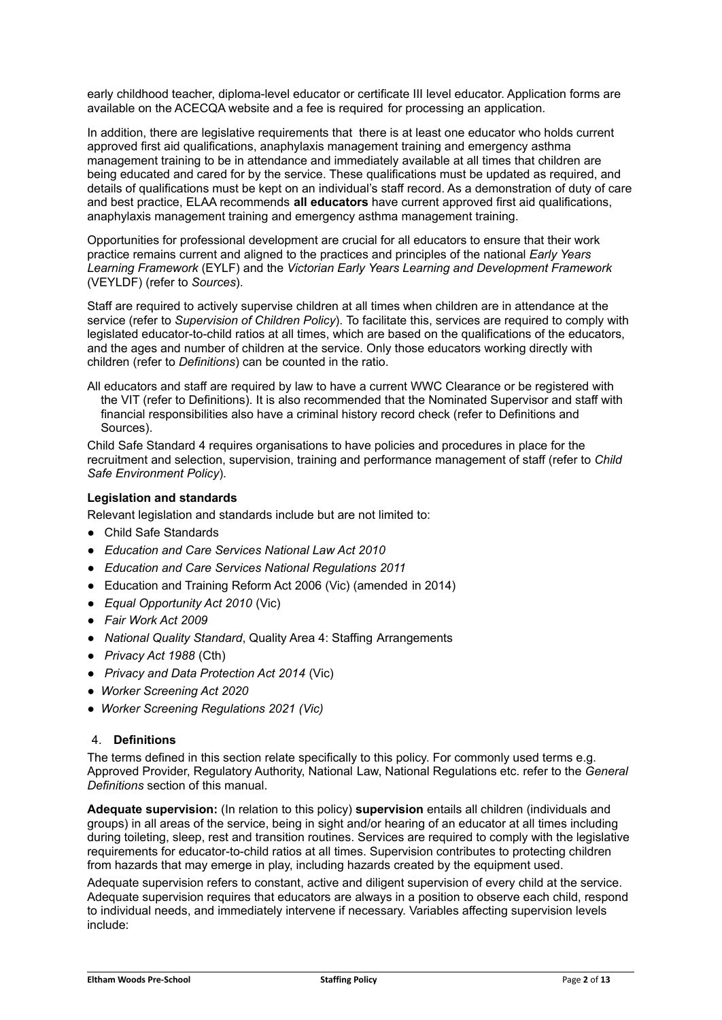early childhood teacher, diploma-level educator or certificate III level educator. Application forms are available on the ACECQA website and a fee is required for processing an application.

In addition, there are legislative requirements that there is at least one educator who holds current approved first aid qualifications, anaphylaxis management training and emergency asthma management training to be in attendance and immediately available at all times that children are being educated and cared for by the service. These qualifications must be updated as required, and details of qualifications must be kept on an individual's staff record. As a demonstration of duty of care and best practice, ELAA recommends **all educators** have current approved first aid qualifications, anaphylaxis management training and emergency asthma management training.

Opportunities for professional development are crucial for all educators to ensure that their work practice remains current and aligned to the practices and principles of the national *Early Years Learning Framework* (EYLF) and the *Victorian Early Years Learning and Development Framework* (VEYLDF) (refer to *Sources*).

Staff are required to actively supervise children at all times when children are in attendance at the service (refer to *Supervision of Children Policy*). To facilitate this, services are required to comply with legislated educator-to-child ratios at all times, which are based on the qualifications of the educators, and the ages and number of children at the service. Only those educators working directly with children (refer to *Definitions*) can be counted in the ratio.

All educators and staff are required by law to have a current WWC Clearance or be registered with the VIT (refer to Definitions). It is also recommended that the Nominated Supervisor and staff with financial responsibilities also have a criminal history record check (refer to Definitions and Sources).

Child Safe Standard 4 requires organisations to have policies and procedures in place for the recruitment and selection, supervision, training and performance management of staff (refer to *Child Safe Environment Policy*).

## **Legislation and standards**

Relevant legislation and standards include but are not limited to:

- Child Safe Standards
- *Education and Care Services National Law Act 2010*
- *Education and Care Services National Regulations 2011*
- Education and Training Reform Act 2006 (Vic) (amended in 2014)
- *Equal Opportunity Act 2010* (Vic)
- *Fair Work Act 2009*
- *National Quality Standard*, Quality Area 4: Staffing Arrangements
- *Privacy Act 1988* (Cth)
- *Privacy and Data Protection Act 2014* (Vic)
- *Worker Screening Act 2020*
- *Worker Screening Regulations 2021 (Vic)*

## 4. **Definitions**

The terms defined in this section relate specifically to this policy. For commonly used terms e.g. Approved Provider, Regulatory Authority, National Law, National Regulations etc. refer to the *General Definitions* section of this manual.

**Adequate supervision:** (In relation to this policy) **supervision** entails all children (individuals and groups) in all areas of the service, being in sight and/or hearing of an educator at all times including during toileting, sleep, rest and transition routines. Services are required to comply with the legislative requirements for educator-to-child ratios at all times. Supervision contributes to protecting children from hazards that may emerge in play, including hazards created by the equipment used.

Adequate supervision refers to constant, active and diligent supervision of every child at the service. Adequate supervision requires that educators are always in a position to observe each child, respond to individual needs, and immediately intervene if necessary. Variables affecting supervision levels include: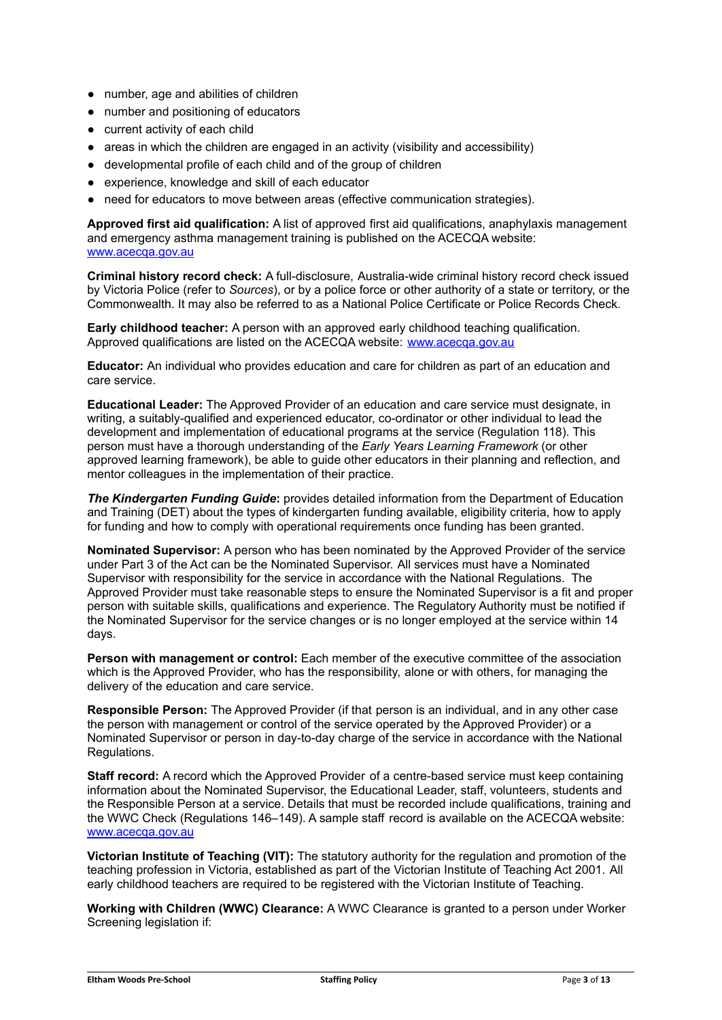- number, age and abilities of children
- number and positioning of educators
- current activity of each child
- areas in which the children are engaged in an activity (visibility and accessibility)
- developmental profile of each child and of the group of children
- experience, knowledge and skill of each educator
- need for educators to move between areas (effective communication strategies).

**Approved first aid qualification:** A list of approved first aid qualifications, anaphylaxis management and emergency asthma management training is published on the ACECQA website: [www.acecqa.gov.au](http://www.acecqa.gov.au)

**Criminal history record check:** A full-disclosure, Australia-wide criminal history record check issued by Victoria Police (refer to *Sources*), or by a police force or other authority of a state or territory, or the Commonwealth. It may also be referred to as a National Police Certificate or Police Records Check.

**Early childhood teacher:** A person with an approved early childhood teaching qualification. Approved qualifications are listed on the ACECQA website: [www.acecqa.gov.au](http://www.acecqa.gov.au)

**Educator:** An individual who provides education and care for children as part of an education and care service.

**Educational Leader:** The Approved Provider of an education and care service must designate, in writing, a suitably-qualified and experienced educator, co-ordinator or other individual to lead the development and implementation of educational programs at the service (Regulation 118). This person must have a thorough understanding of the *Early Years Learning Framework* (or other approved learning framework), be able to guide other educators in their planning and reflection, and mentor colleagues in the implementation of their practice.

*The Kindergarten Funding Guide***:** provides detailed information from the Department of Education and Training (DET) about the types of kindergarten funding available, eligibility criteria, how to apply for funding and how to comply with operational requirements once funding has been granted.

**Nominated Supervisor:** A person who has been nominated by the Approved Provider of the service under Part 3 of the Act can be the Nominated Supervisor. All services must have a Nominated Supervisor with responsibility for the service in accordance with the National Regulations. The Approved Provider must take reasonable steps to ensure the Nominated Supervisor is a fit and proper person with suitable skills, qualifications and experience. The Regulatory Authority must be notified if the Nominated Supervisor for the service changes or is no longer employed at the service within 14 days.

**Person with management or control:** Each member of the executive committee of the association which is the Approved Provider, who has the responsibility, alone or with others, for managing the delivery of the education and care service.

**Responsible Person:** The Approved Provider (if that person is an individual, and in any other case the person with management or control of the service operated by the Approved Provider) or a Nominated Supervisor or person in day-to-day charge of the service in accordance with the National Regulations.

**Staff record:** A record which the Approved Provider of a centre-based service must keep containing information about the Nominated Supervisor, the Educational Leader, staff, volunteers, students and the Responsible Person at a service. Details that must be recorded include qualifications, training and the WWC Check (Regulations 146–149). A sample staff record is available on the ACECQA website: [www.acecqa.gov.au](http://www.acecqa.gov.au)

**Victorian Institute of Teaching (VIT):** The statutory authority for the regulation and promotion of the teaching profession in Victoria, established as part of the Victorian Institute of Teaching Act 2001. All early childhood teachers are required to be registered with the Victorian Institute of Teaching.

**Working with Children (WWC) Clearance:** A WWC Clearance is granted to a person under Worker Screening legislation if: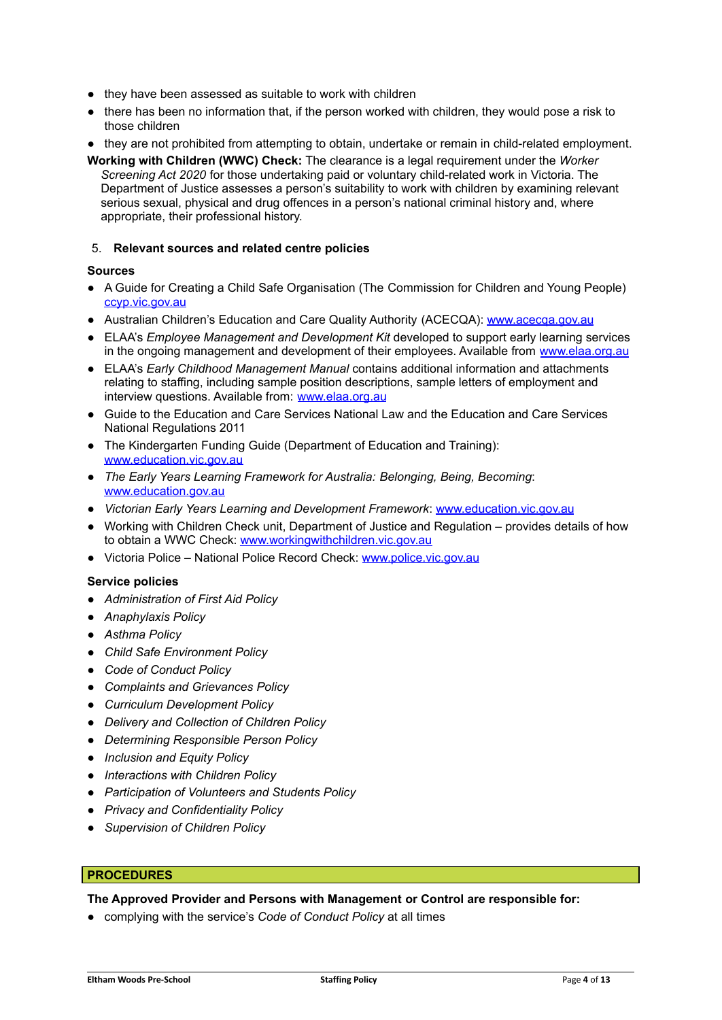- they have been assessed as suitable to work with children
- there has been no information that, if the person worked with children, they would pose a risk to those children
- they are not prohibited from attempting to obtain, undertake or remain in child-related employment.
- **Working with Children (WWC) Check:** The clearance is a legal requirement under the *Worker Screening Act 2020* for those undertaking paid or voluntary child-related work in Victoria. The Department of Justice assesses a person's suitability to work with children by examining relevant serious sexual, physical and drug offences in a person's national criminal history and, where appropriate, their professional history.

#### 5. **Relevant sources and related centre policies**

#### **Sources**

- A Guide for Creating a Child Safe Organisation (The Commission for Children and Young People) [ccyp.vic.gov.au](https://ccyp.vic.gov.au/)
- Australian Children's Education and Care Quality Authority (ACECQA): [www.acecqa.gov.au](http://www.acecqa.gov.au)
- ELAA's *Employee Management and Development Kit* developed to support early learning services in the ongoing management and development of their employees. Available from [www.elaa.org.au](http://www.elaa.org.au)
- ELAA's *Early Childhood Management Manual* contains additional information and attachments relating to staffing, including sample position descriptions, sample letters of employment and interview questions. Available from: [www.elaa.org.au](http://www.elaa.org.au)
- Guide to the Education and Care Services National Law and the Education and Care Services National Regulations 2011
- The Kindergarten Funding Guide (Department of Education and Training): [www.education.vic.gov.au](http://www.education.vic.gov.au/Pages/default.aspx)
- *The Early Years Learning Framework for Australia: Belonging, Being, Becoming*: [www.education.gov.au](http://www.education.gov.au)
- *Victorian Early Years Learning and Development Framework*: [www.education.vic.gov.au](http://www.education.vic.gov.au/Pages/default.aspx)
- Working with Children Check unit, Department of Justice and Regulation provides details of how to obtain a WWC Check: [www.workingwithchildren.vic.gov.au](http://www.workingwithchildren.vic.gov.au)
- Victoria Police National Police Record Check: [www.police.vic.gov.au](http://www.police.vic.gov.au/)

#### **Service policies**

- *Administration of First Aid Policy*
- *Anaphylaxis Policy*
- *Asthma Policy*
- *Child Safe Environment Policy*
- *Code of Conduct Policy*
- *Complaints and Grievances Policy*
- *Curriculum Development Policy*
- *Delivery and Collection of Children Policy*
- *Determining Responsible Person Policy*
- *Inclusion and Equity Policy*
- *Interactions with Children Policy*
- *Participation of Volunteers and Students Policy*
- *Privacy and Confidentiality Policy*
- *Supervision of Children Policy*

## **PROCEDURES**

#### **The Approved Provider and Persons with Management or Control are responsible for:**

● complying with the service's *Code of Conduct Policy* at all times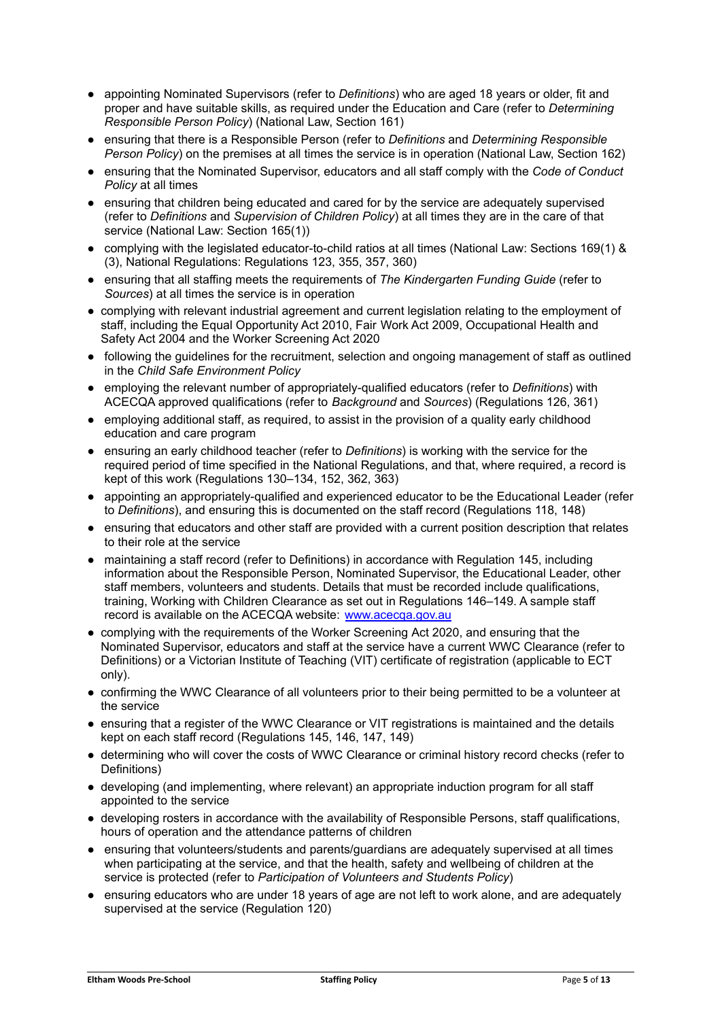- appointing Nominated Supervisors (refer to *Definitions*) who are aged 18 years or older, fit and proper and have suitable skills, as required under the Education and Care (refer to *Determining Responsible Person Policy*) (National Law, Section 161)
- ensuring that there is a Responsible Person (refer to *Definitions* and *Determining Responsible Person Policy*) on the premises at all times the service is in operation (National Law, Section 162)
- ensuring that the Nominated Supervisor, educators and all staff comply with the *Code of Conduct Policy* at all times
- ensuring that children being educated and cared for by the service are adequately supervised (refer to *Definitions* and *Supervision of Children Policy*) at all times they are in the care of that service (National Law: Section 165(1))
- complying with the legislated educator-to-child ratios at all times (National Law: Sections 169(1) & (3), National Regulations: Regulations 123, 355, 357, 360)
- ensuring that all staffing meets the requirements of *The Kindergarten Funding Guide* (refer to *Sources*) at all times the service is in operation
- complying with relevant industrial agreement and current legislation relating to the employment of staff, including the Equal Opportunity Act 2010, Fair Work Act 2009, Occupational Health and Safety Act 2004 and the Worker Screening Act 2020
- following the guidelines for the recruitment, selection and ongoing management of staff as outlined in the *Child Safe Environment Policy*
- employing the relevant number of appropriately-qualified educators (refer to *Definitions*) with ACECQA approved qualifications (refer to *Background* and *Sources*) (Regulations 126, 361)
- employing additional staff, as required, to assist in the provision of a quality early childhood education and care program
- ensuring an early childhood teacher (refer to *Definitions*) is working with the service for the required period of time specified in the National Regulations, and that, where required, a record is kept of this work (Regulations 130–134, 152, 362, 363)
- appointing an appropriately-qualified and experienced educator to be the Educational Leader (refer to *Definitions*), and ensuring this is documented on the staff record (Regulations 118, 148)
- ensuring that educators and other staff are provided with a current position description that relates to their role at the service
- maintaining a staff record (refer to Definitions) in accordance with Regulation 145, including information about the Responsible Person, Nominated Supervisor, the Educational Leader, other staff members, volunteers and students. Details that must be recorded include qualifications, training, Working with Children Clearance as set out in Regulations 146–149. A sample staff record is available on the ACECQA website: [www.acecqa.gov.au](http://www.acecqa.gov.au)
- complying with the requirements of the Worker Screening Act 2020, and ensuring that the Nominated Supervisor, educators and staff at the service have a current WWC Clearance (refer to Definitions) or a Victorian Institute of Teaching (VIT) certificate of registration (applicable to ECT only).
- confirming the WWC Clearance of all volunteers prior to their being permitted to be a volunteer at the service
- ensuring that a register of the WWC Clearance or VIT registrations is maintained and the details kept on each staff record (Regulations 145, 146, 147, 149)
- determining who will cover the costs of WWC Clearance or criminal history record checks (refer to Definitions)
- developing (and implementing, where relevant) an appropriate induction program for all staff appointed to the service
- developing rosters in accordance with the availability of Responsible Persons, staff qualifications, hours of operation and the attendance patterns of children
- ensuring that volunteers/students and parents/guardians are adequately supervised at all times when participating at the service, and that the health, safety and wellbeing of children at the service is protected (refer to *Participation of Volunteers and Students Policy*)
- ensuring educators who are under 18 years of age are not left to work alone, and are adequately supervised at the service (Regulation 120)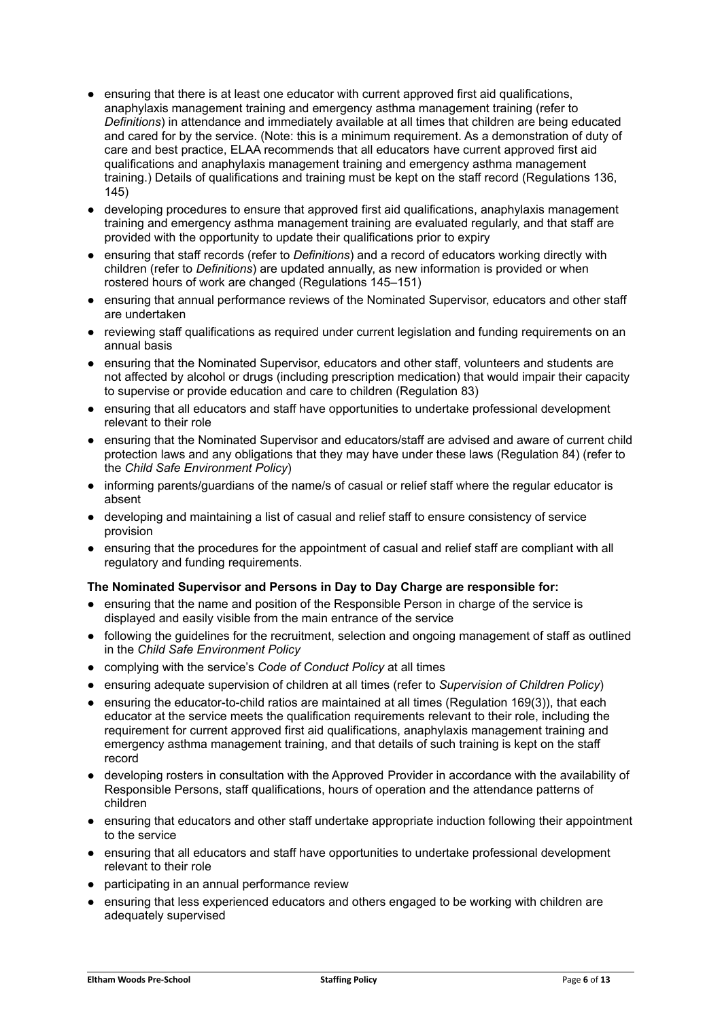- ensuring that there is at least one educator with current approved first aid qualifications, anaphylaxis management training and emergency asthma management training (refer to *Definitions*) in attendance and immediately available at all times that children are being educated and cared for by the service. (Note: this is a minimum requirement. As a demonstration of duty of care and best practice, ELAA recommends that all educators have current approved first aid qualifications and anaphylaxis management training and emergency asthma management training.) Details of qualifications and training must be kept on the staff record (Regulations 136, 145)
- developing procedures to ensure that approved first aid qualifications, anaphylaxis management training and emergency asthma management training are evaluated regularly, and that staff are provided with the opportunity to update their qualifications prior to expiry
- ensuring that staff records (refer to *Definitions*) and a record of educators working directly with children (refer to *Definitions*) are updated annually, as new information is provided or when rostered hours of work are changed (Regulations 145–151)
- ensuring that annual performance reviews of the Nominated Supervisor, educators and other staff are undertaken
- reviewing staff qualifications as required under current legislation and funding requirements on an annual basis
- ensuring that the Nominated Supervisor, educators and other staff, volunteers and students are not affected by alcohol or drugs (including prescription medication) that would impair their capacity to supervise or provide education and care to children (Regulation 83)
- ensuring that all educators and staff have opportunities to undertake professional development relevant to their role
- ensuring that the Nominated Supervisor and educators/staff are advised and aware of current child protection laws and any obligations that they may have under these laws (Regulation 84) (refer to the *Child Safe Environment Policy*)
- informing parents/guardians of the name/s of casual or relief staff where the regular educator is absent
- developing and maintaining a list of casual and relief staff to ensure consistency of service provision
- ensuring that the procedures for the appointment of casual and relief staff are compliant with all regulatory and funding requirements.

## **The Nominated Supervisor and Persons in Day to Day Charge are responsible for:**

- ensuring that the name and position of the Responsible Person in charge of the service is displayed and easily visible from the main entrance of the service
- following the guidelines for the recruitment, selection and ongoing management of staff as outlined in the *Child Safe Environment Policy*
- complying with the service's *Code of Conduct Policy* at all times
- ensuring adequate supervision of children at all times (refer to *Supervision of Children Policy*)
- ensuring the educator-to-child ratios are maintained at all times (Regulation 169(3)), that each educator at the service meets the qualification requirements relevant to their role, including the requirement for current approved first aid qualifications, anaphylaxis management training and emergency asthma management training, and that details of such training is kept on the staff record
- developing rosters in consultation with the Approved Provider in accordance with the availability of Responsible Persons, staff qualifications, hours of operation and the attendance patterns of children
- ensuring that educators and other staff undertake appropriate induction following their appointment to the service
- ensuring that all educators and staff have opportunities to undertake professional development relevant to their role
- participating in an annual performance review
- ensuring that less experienced educators and others engaged to be working with children are adequately supervised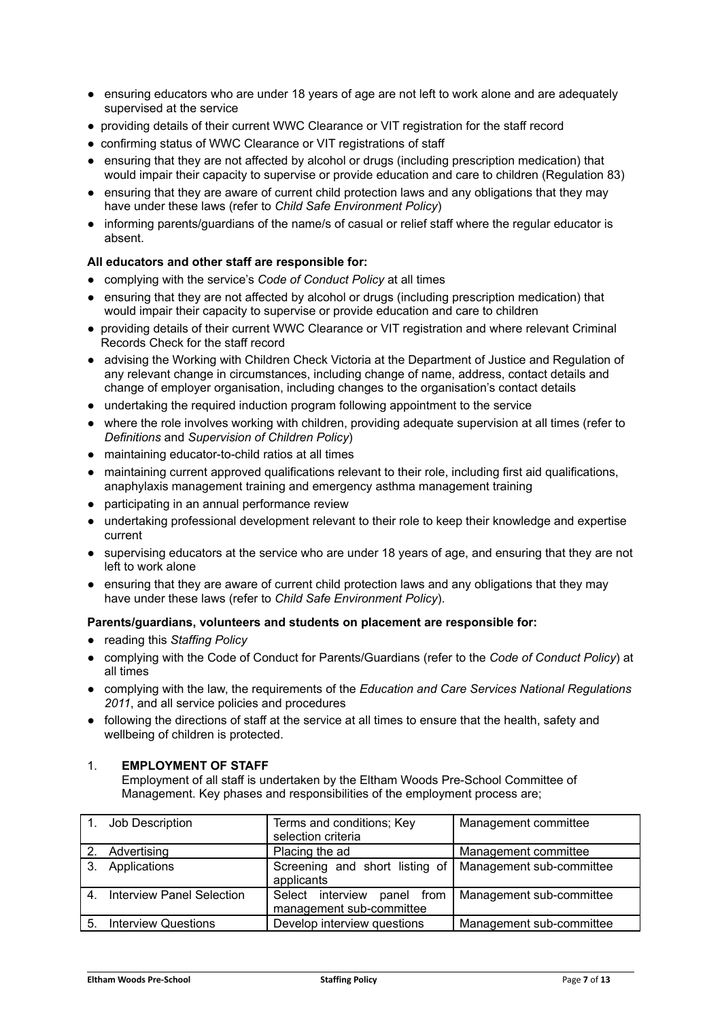- ensuring educators who are under 18 years of age are not left to work alone and are adequately supervised at the service
- providing details of their current WWC Clearance or VIT registration for the staff record
- confirming status of WWC Clearance or VIT registrations of staff
- ensuring that they are not affected by alcohol or drugs (including prescription medication) that would impair their capacity to supervise or provide education and care to children (Regulation 83)
- ensuring that they are aware of current child protection laws and any obligations that they may have under these laws (refer to *Child Safe Environment Policy*)
- informing parents/guardians of the name/s of casual or relief staff where the regular educator is absent.

## **All educators and other staff are responsible for:**

- complying with the service's *Code of Conduct Policy* at all times
- ensuring that they are not affected by alcohol or drugs (including prescription medication) that would impair their capacity to supervise or provide education and care to children
- providing details of their current WWC Clearance or VIT registration and where relevant Criminal Records Check for the staff record
- advising the Working with Children Check Victoria at the Department of Justice and Regulation of any relevant change in circumstances, including change of name, address, contact details and change of employer organisation, including changes to the organisation's contact details
- undertaking the required induction program following appointment to the service
- where the role involves working with children, providing adequate supervision at all times (refer to *Definitions* and *Supervision of Children Policy*)
- maintaining educator-to-child ratios at all times
- maintaining current approved qualifications relevant to their role, including first aid qualifications, anaphylaxis management training and emergency asthma management training
- participating in an annual performance review
- undertaking professional development relevant to their role to keep their knowledge and expertise current
- supervising educators at the service who are under 18 years of age, and ensuring that they are not left to work alone
- ensuring that they are aware of current child protection laws and any obligations that they may have under these laws (refer to *Child Safe Environment Policy*).

#### **Parents/guardians, volunteers and students on placement are responsible for:**

- reading this *Staffing Policy*
- complying with the Code of Conduct for Parents/Guardians (refer to the *Code of Conduct Policy*) at all times
- complying with the law, the requirements of the *Education and Care Services National Regulations 2011*, and all service policies and procedures
- following the directions of staff at the service at all times to ensure that the health, safety and wellbeing of children is protected.

## 1. **EMPLOYMENT OF STAFF**

Employment of all staff is undertaken by the Eltham Woods Pre-School Committee of Management. Key phases and responsibilities of the employment process are;

|                | Job Description                  | Terms and conditions; Key<br>selection criteria         | Management committee     |
|----------------|----------------------------------|---------------------------------------------------------|--------------------------|
|                | Advertising                      | Placing the ad                                          | Management committee     |
| 3.             | Applications                     | Screening and short listing of<br>applicants            | Management sub-committee |
| $\overline{4}$ | <b>Interview Panel Selection</b> | Select interview panel from<br>management sub-committee | Management sub-committee |
| 5.             | <b>Interview Questions</b>       | Develop interview questions                             | Management sub-committee |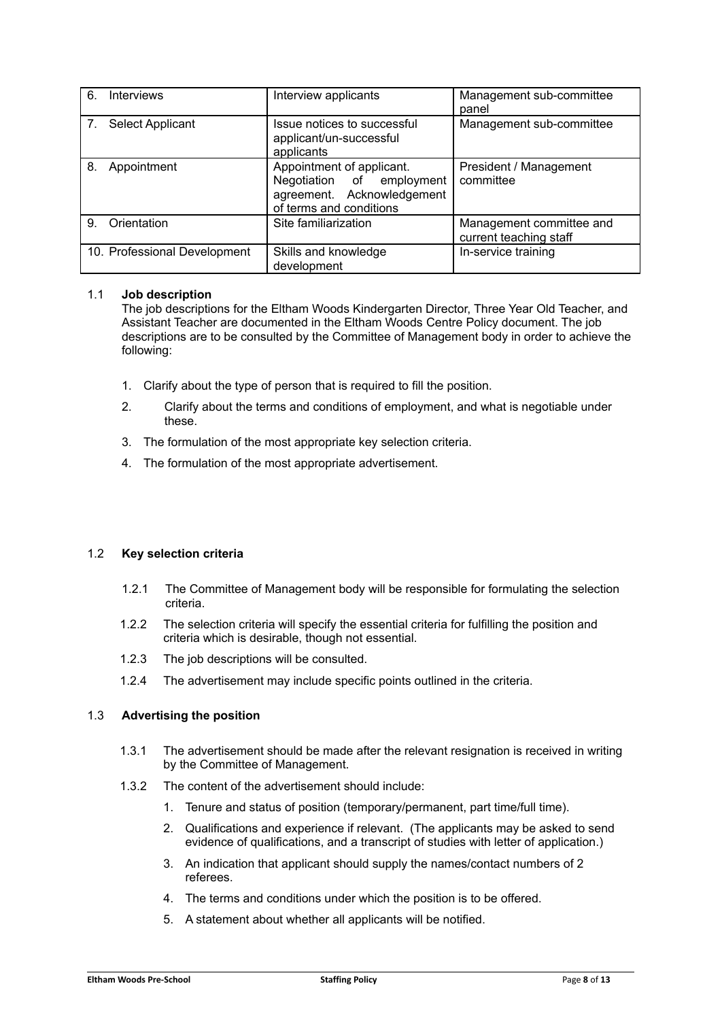| 6.             | <b>Interviews</b>            | Interview applicants                                                                                            | Management sub-committee<br>panel                  |
|----------------|------------------------------|-----------------------------------------------------------------------------------------------------------------|----------------------------------------------------|
| 7 <sub>1</sub> | Select Applicant             | Issue notices to successful<br>applicant/un-successful<br>applicants                                            | Management sub-committee                           |
| 8.             | Appointment                  | Appointment of applicant.<br>Negotiation of employment<br>agreement. Acknowledgement<br>of terms and conditions | President / Management<br>committee                |
| 9              | Orientation                  | Site familiarization                                                                                            | Management committee and<br>current teaching staff |
|                | 10. Professional Development | Skills and knowledge<br>development                                                                             | In-service training                                |

## 1.1 **Job description**

The job descriptions for the Eltham Woods Kindergarten Director, Three Year Old Teacher, and Assistant Teacher are documented in the Eltham Woods Centre Policy document. The job descriptions are to be consulted by the Committee of Management body in order to achieve the following:

- 1. Clarify about the type of person that is required to fill the position.
- 2. Clarify about the terms and conditions of employment, and what is negotiable under these.
- 3. The formulation of the most appropriate key selection criteria.
- 4. The formulation of the most appropriate advertisement.

## 1.2 **Key selection criteria**

- 1.2.1 The Committee of Management body will be responsible for formulating the selection criteria.
- 1.2.2 The selection criteria will specify the essential criteria for fulfilling the position and criteria which is desirable, though not essential.
- 1.2.3 The job descriptions will be consulted.
- 1.2.4 The advertisement may include specific points outlined in the criteria.

## 1.3 **Advertising the position**

- 1.3.1 The advertisement should be made after the relevant resignation is received in writing by the Committee of Management.
- 1.3.2 The content of the advertisement should include:
	- 1. Tenure and status of position (temporary/permanent, part time/full time).
	- 2. Qualifications and experience if relevant. (The applicants may be asked to send evidence of qualifications, and a transcript of studies with letter of application.)
	- 3. An indication that applicant should supply the names/contact numbers of 2 referees.
	- 4. The terms and conditions under which the position is to be offered.
	- 5. A statement about whether all applicants will be notified.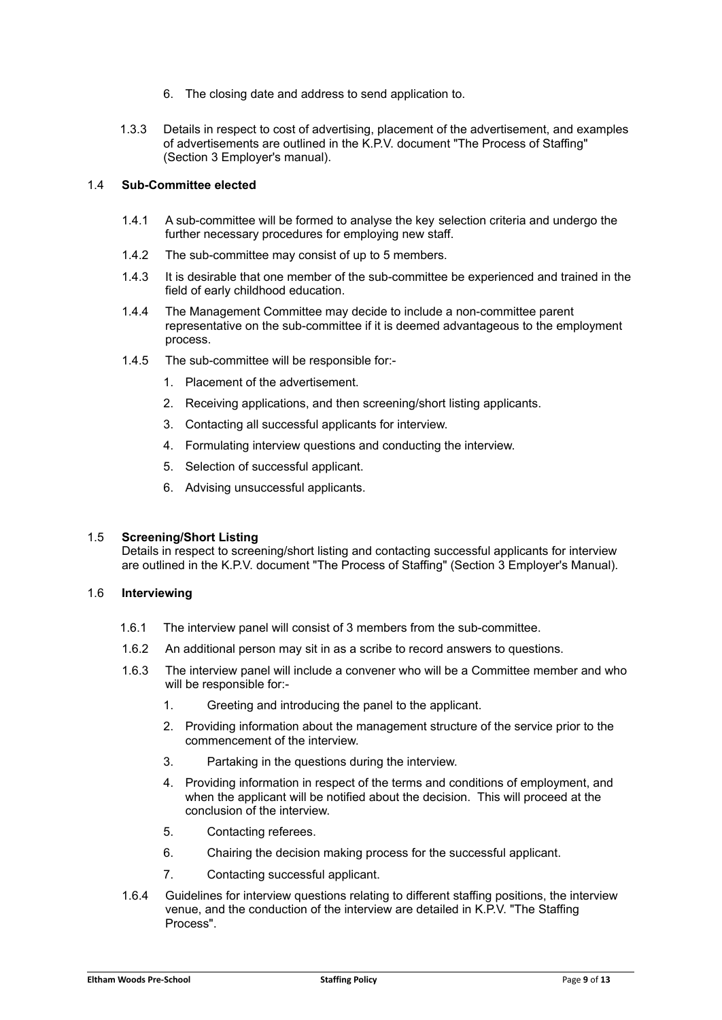- 6. The closing date and address to send application to.
- 1.3.3 Details in respect to cost of advertising, placement of the advertisement, and examples of advertisements are outlined in the K.P.V. document "The Process of Staffing" (Section 3 Employer's manual).

#### 1.4 **Sub-Committee elected**

- 1.4.1 A sub-committee will be formed to analyse the key selection criteria and undergo the further necessary procedures for employing new staff.
- 1.4.2 The sub-committee may consist of up to 5 members.
- 1.4.3 It is desirable that one member of the sub-committee be experienced and trained in the field of early childhood education.
- 1.4.4 The Management Committee may decide to include a non-committee parent representative on the sub-committee if it is deemed advantageous to the employment process.
- 1.4.5 The sub-committee will be responsible for:-
	- 1. Placement of the advertisement.
	- 2. Receiving applications, and then screening/short listing applicants.
	- 3. Contacting all successful applicants for interview.
	- 4. Formulating interview questions and conducting the interview.
	- 5. Selection of successful applicant.
	- 6. Advising unsuccessful applicants.

#### 1.5 **Screening/Short Listing**

Details in respect to screening/short listing and contacting successful applicants for interview are outlined in the K.P.V. document "The Process of Staffing" (Section 3 Employer's Manual).

#### 1.6 **Interviewing**

- 1.6.1 The interview panel will consist of 3 members from the sub-committee.
- 1.6.2 An additional person may sit in as a scribe to record answers to questions.
- 1.6.3 The interview panel will include a convener who will be a Committee member and who will be responsible for:-
	- 1. Greeting and introducing the panel to the applicant.
	- 2. Providing information about the management structure of the service prior to the commencement of the interview.
	- 3. Partaking in the questions during the interview.
	- 4. Providing information in respect of the terms and conditions of employment, and when the applicant will be notified about the decision. This will proceed at the conclusion of the interview.
	- 5. Contacting referees.
	- 6. Chairing the decision making process for the successful applicant.
	- 7. Contacting successful applicant.
- 1.6.4 Guidelines for interview questions relating to different staffing positions, the interview venue, and the conduction of the interview are detailed in K.P.V. "The Staffing Process".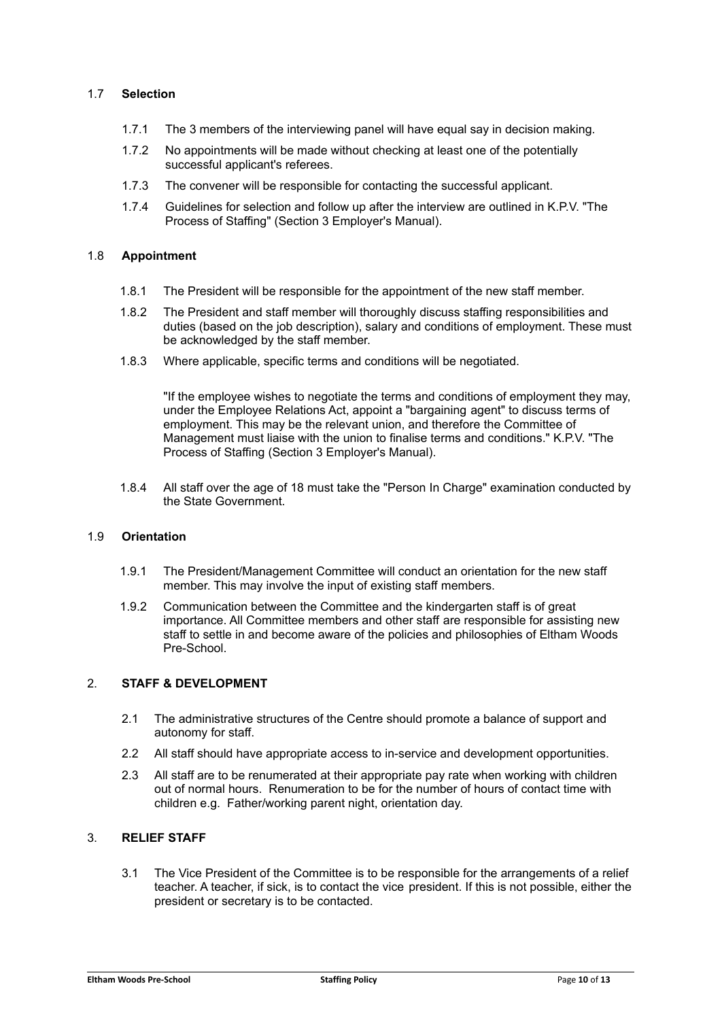## 1.7 **Selection**

- 1.7.1 The 3 members of the interviewing panel will have equal say in decision making.
- 1.7.2 No appointments will be made without checking at least one of the potentially successful applicant's referees.
- 1.7.3 The convener will be responsible for contacting the successful applicant.
- 1.7.4 Guidelines for selection and follow up after the interview are outlined in K.P.V. "The Process of Staffing" (Section 3 Employer's Manual).

#### 1.8 **Appointment**

- 1.8.1 The President will be responsible for the appointment of the new staff member.
- 1.8.2 The President and staff member will thoroughly discuss staffing responsibilities and duties (based on the job description), salary and conditions of employment. These must be acknowledged by the staff member.
- 1.8.3 Where applicable, specific terms and conditions will be negotiated.

"If the employee wishes to negotiate the terms and conditions of employment they may, under the Employee Relations Act, appoint a "bargaining agent" to discuss terms of employment. This may be the relevant union, and therefore the Committee of Management must liaise with the union to finalise terms and conditions." K.P.V. "The Process of Staffing (Section 3 Employer's Manual).

1.8.4 All staff over the age of 18 must take the "Person In Charge" examination conducted by the State Government.

## 1.9 **Orientation**

- 1.9.1 The President/Management Committee will conduct an orientation for the new staff member. This may involve the input of existing staff members.
- 1.9.2 Communication between the Committee and the kindergarten staff is of great importance. All Committee members and other staff are responsible for assisting new staff to settle in and become aware of the policies and philosophies of Eltham Woods Pre-School.

## 2. **STAFF & DEVELOPMENT**

- 2.1 The administrative structures of the Centre should promote a balance of support and autonomy for staff.
- 2.2 All staff should have appropriate access to in-service and development opportunities.
- 2.3 All staff are to be renumerated at their appropriate pay rate when working with children out of normal hours. Renumeration to be for the number of hours of contact time with children e.g. Father/working parent night, orientation day.

## 3. **RELIEF STAFF**

3.1 The Vice President of the Committee is to be responsible for the arrangements of a relief teacher. A teacher, if sick, is to contact the vice president. If this is not possible, either the president or secretary is to be contacted.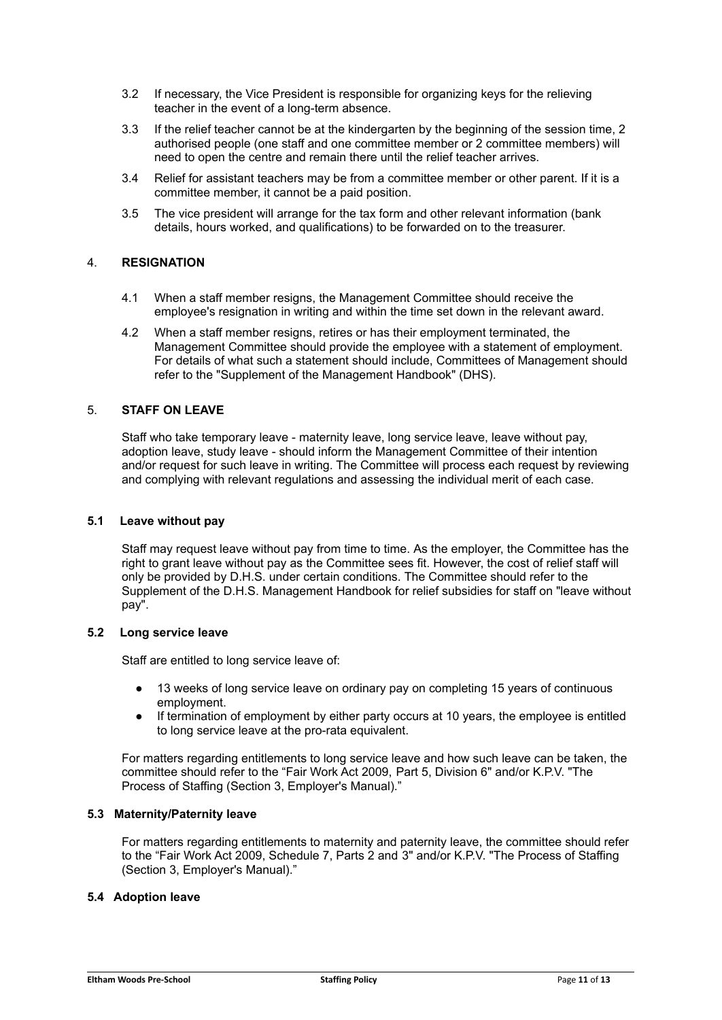- 3.2 If necessary, the Vice President is responsible for organizing keys for the relieving teacher in the event of a long-term absence.
- 3.3 If the relief teacher cannot be at the kindergarten by the beginning of the session time, 2 authorised people (one staff and one committee member or 2 committee members) will need to open the centre and remain there until the relief teacher arrives.
- 3.4 Relief for assistant teachers may be from a committee member or other parent. If it is a committee member, it cannot be a paid position.
- 3.5 The vice president will arrange for the tax form and other relevant information (bank details, hours worked, and qualifications) to be forwarded on to the treasurer.

## 4. **RESIGNATION**

- 4.1 When a staff member resigns, the Management Committee should receive the employee's resignation in writing and within the time set down in the relevant award.
- 4.2 When a staff member resigns, retires or has their employment terminated, the Management Committee should provide the employee with a statement of employment. For details of what such a statement should include, Committees of Management should refer to the "Supplement of the Management Handbook" (DHS).

#### 5. **STAFF ON LEAVE**

Staff who take temporary leave - maternity leave, long service leave, leave without pay, adoption leave, study leave - should inform the Management Committee of their intention and/or request for such leave in writing. The Committee will process each request by reviewing and complying with relevant regulations and assessing the individual merit of each case.

#### **5.1 Leave without pay**

Staff may request leave without pay from time to time. As the employer, the Committee has the right to grant leave without pay as the Committee sees fit. However, the cost of relief staff will only be provided by D.H.S. under certain conditions. The Committee should refer to the Supplement of the D.H.S. Management Handbook for relief subsidies for staff on "leave without pay".

#### **5.2 Long service leave**

Staff are entitled to long service leave of:

- 13 weeks of long service leave on ordinary pay on completing 15 years of continuous employment.
- If termination of employment by either party occurs at 10 years, the employee is entitled to long service leave at the pro-rata equivalent.

For matters regarding entitlements to long service leave and how such leave can be taken, the committee should refer to the "Fair Work Act 2009, Part 5, Division 6" and/or K.P.V. "The Process of Staffing (Section 3, Employer's Manual)."

#### **5.3 Maternity/Paternity leave**

For matters regarding entitlements to maternity and paternity leave, the committee should refer to the "Fair Work Act 2009, Schedule 7, Parts 2 and 3" and/or K.P.V. "The Process of Staffing (Section 3, Employer's Manual)."

#### **5.4 Adoption leave**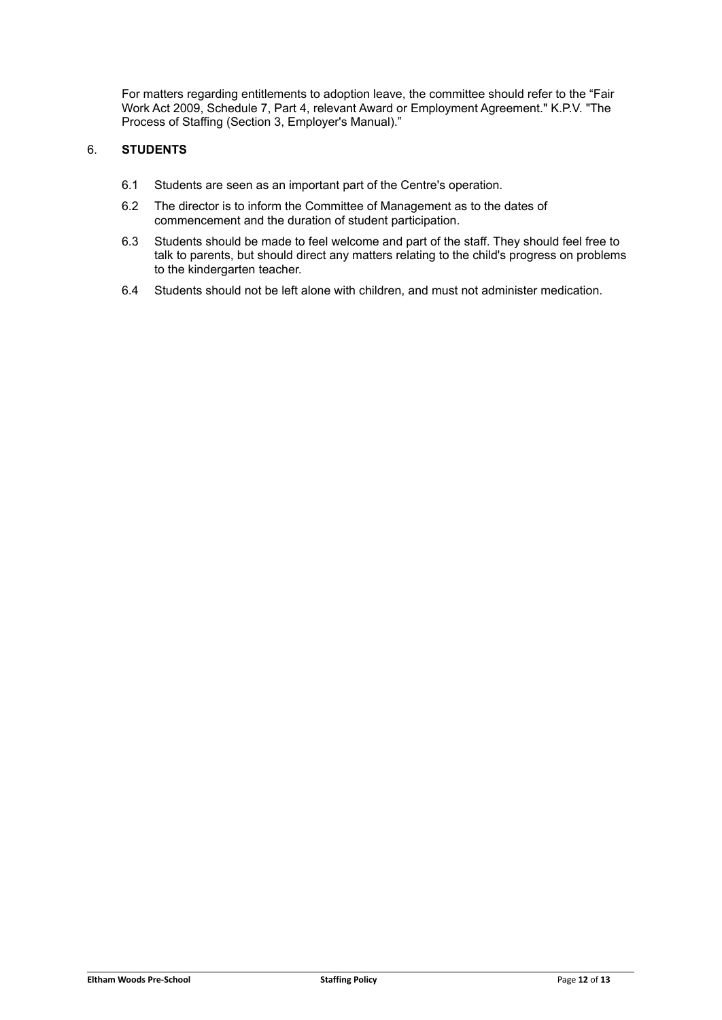For matters regarding entitlements to adoption leave, the committee should refer to the "Fair Work Act 2009, Schedule 7, Part 4, relevant Award or Employment Agreement." K.P.V. "The Process of Staffing (Section 3, Employer's Manual)."

## 6. **STUDENTS**

- 6.1 Students are seen as an important part of the Centre's operation.
- 6.2 The director is to inform the Committee of Management as to the dates of commencement and the duration of student participation.
- 6.3 Students should be made to feel welcome and part of the staff. They should feel free to talk to parents, but should direct any matters relating to the child's progress on problems to the kindergarten teacher.
- 6.4 Students should not be left alone with children, and must not administer medication.